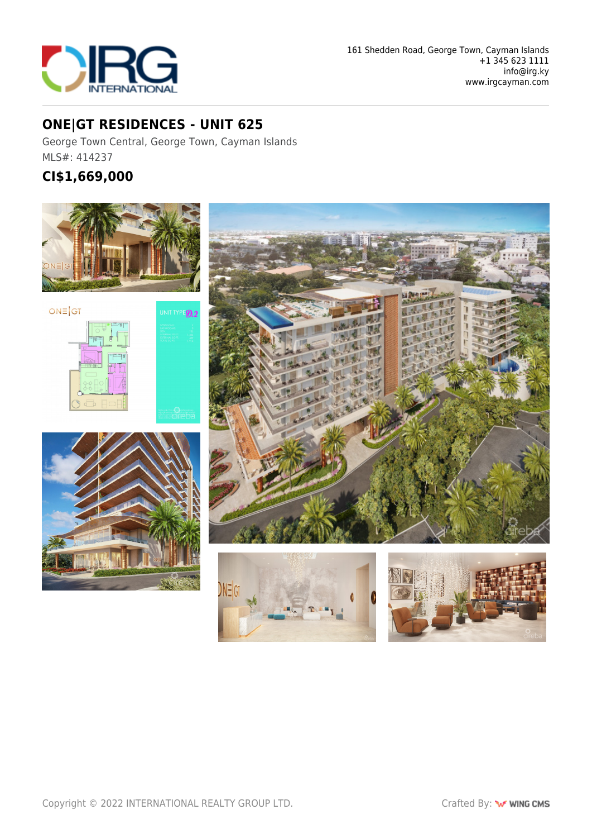

### **ONE|GT RESIDENCES - UNIT 625**

George Town Central, George Town, Cayman Islands MLS#: 414237

## **CI\$1,669,000**







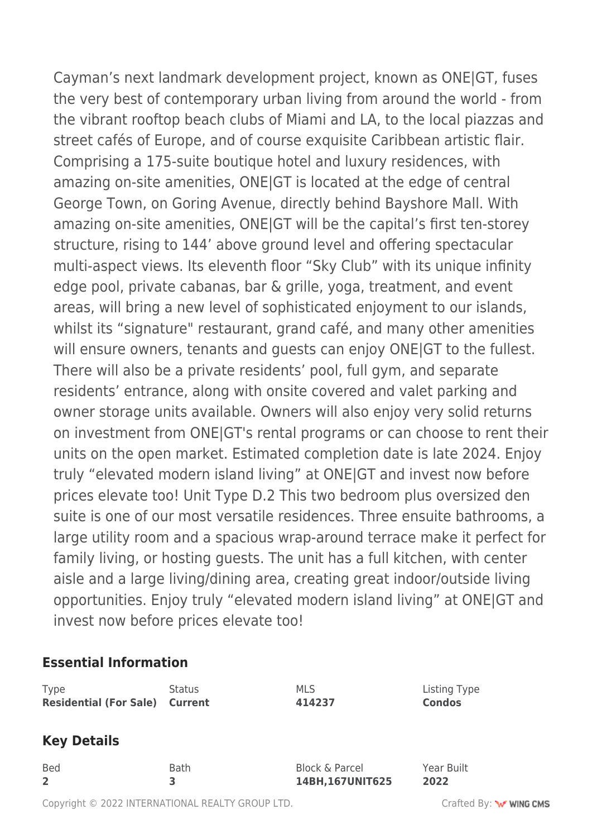Cayman's next landmark development project, known as ONE|GT, fuses the very best of contemporary urban living from around the world - from the vibrant rooftop beach clubs of Miami and LA, to the local piazzas and street cafés of Europe, and of course exquisite Caribbean artistic flair. Comprising a 175-suite boutique hotel and luxury residences, with amazing on-site amenities, ONE|GT is located at the edge of central George Town, on Goring Avenue, directly behind Bayshore Mall. With amazing on-site amenities, ONE|GT will be the capital's first ten-storey structure, rising to 144' above ground level and offering spectacular multi-aspect views. Its eleventh floor "Sky Club" with its unique infinity edge pool, private cabanas, bar & grille, yoga, treatment, and event areas, will bring a new level of sophisticated enjoyment to our islands, whilst its "signature" restaurant, grand café, and many other amenities will ensure owners, tenants and guests can enjoy ONE|GT to the fullest. There will also be a private residents' pool, full gym, and separate residents' entrance, along with onsite covered and valet parking and owner storage units available. Owners will also enjoy very solid returns on investment from ONE|GT's rental programs or can choose to rent their units on the open market. Estimated completion date is late 2024. Enjoy truly "elevated modern island living" at ONE|GT and invest now before prices elevate too! Unit Type D.2 This two bedroom plus oversized den suite is one of our most versatile residences. Three ensuite bathrooms, a large utility room and a spacious wrap-around terrace make it perfect for family living, or hosting guests. The unit has a full kitchen, with center aisle and a large living/dining area, creating great indoor/outside living opportunities. Enjoy truly "elevated modern island living" at ONE|GT and invest now before prices elevate too!

### **Essential Information**

| <b>Type</b>                   | <b>Status</b>  | <b>MLS</b>                | Listing Type  |
|-------------------------------|----------------|---------------------------|---------------|
| <b>Residential (For Sale)</b> | <b>Current</b> | 414237                    | <b>Condos</b> |
| <b>Key Details</b>            |                |                           |               |
| <b>Bed</b>                    | <b>Bath</b>    | <b>Block &amp; Parcel</b> | Year Built    |
| $\overline{2}$                | 3              | 14BH, 167UNIT625          | 2022          |

Copyright © 2022 INTERNATIONAL REALTY GROUP LTD. Crafted By: www.company.com